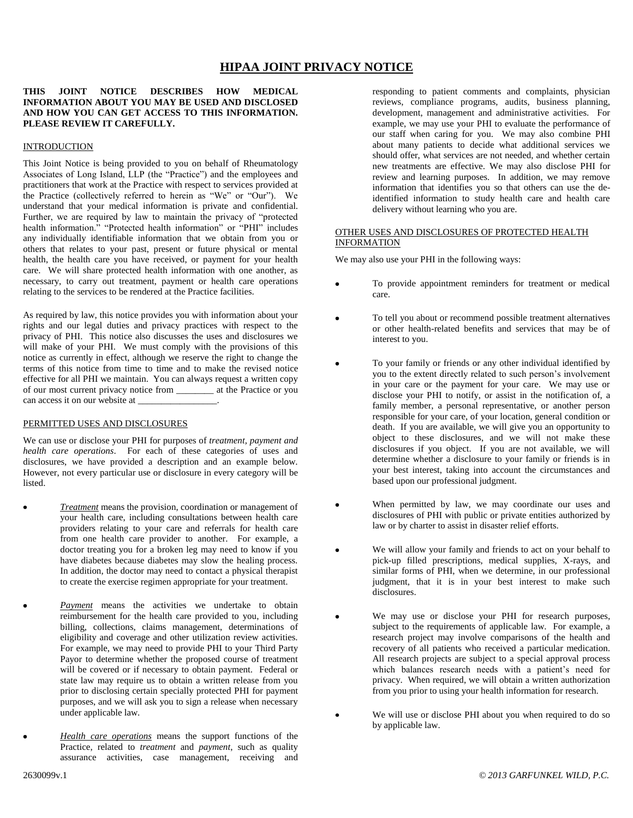# **HIPAA JOINT PRIVACY NOTICE**

# **THIS JOINT NOTICE DESCRIBES HOW MEDICAL INFORMATION ABOUT YOU MAY BE USED AND DISCLOSED AND HOW YOU CAN GET ACCESS TO THIS INFORMATION. PLEASE REVIEW IT CAREFULLY.**

#### **INTRODUCTION**

This Joint Notice is being provided to you on behalf of Rheumatology Associates of Long Island, LLP (the "Practice") and the employees and practitioners that work at the Practice with respect to services provided at the Practice (collectively referred to herein as "We" or "Our"). We understand that your medical information is private and confidential. Further, we are required by law to maintain the privacy of "protected health information." "Protected health information" or "PHI" includes any individually identifiable information that we obtain from you or others that relates to your past, present or future physical or mental health, the health care you have received, or payment for your health care. We will share protected health information with one another, as necessary, to carry out treatment, payment or health care operations relating to the services to be rendered at the Practice facilities.

As required by law, this notice provides you with information about your rights and our legal duties and privacy practices with respect to the privacy of PHI. This notice also discusses the uses and disclosures we will make of your PHI. We must comply with the provisions of this notice as currently in effect, although we reserve the right to change the terms of this notice from time to time and to make the revised notice effective for all PHI we maintain. You can always request a written copy of our most current privacy notice from \_\_\_\_\_\_\_\_ at the Practice or you can access it on our website at

### PERMITTED USES AND DISCLOSURES

We can use or disclose your PHI for purposes of *treatment, payment and health care operations*. For each of these categories of uses and disclosures, we have provided a description and an example below. However, not every particular use or disclosure in every category will be listed.

- *Treatment* means the provision, coordination or management of your health care, including consultations between health care providers relating to your care and referrals for health care from one health care provider to another. For example, a doctor treating you for a broken leg may need to know if you have diabetes because diabetes may slow the healing process. In addition, the doctor may need to contact a physical therapist to create the exercise regimen appropriate for your treatment.
- *Payment* means the activities we undertake to obtain reimbursement for the health care provided to you, including billing, collections, claims management, determinations of eligibility and coverage and other utilization review activities. For example, we may need to provide PHI to your Third Party Payor to determine whether the proposed course of treatment will be covered or if necessary to obtain payment. Federal or state law may require us to obtain a written release from you prior to disclosing certain specially protected PHI for payment purposes, and we will ask you to sign a release when necessary under applicable law.
- *Health care operations* means the support functions of the Practice, related to *treatment* and *payment*, such as quality assurance activities, case management, receiving and

responding to patient comments and complaints, physician reviews, compliance programs, audits, business planning, development, management and administrative activities. For example, we may use your PHI to evaluate the performance of our staff when caring for you. We may also combine PHI about many patients to decide what additional services we should offer, what services are not needed, and whether certain new treatments are effective. We may also disclose PHI for review and learning purposes. In addition, we may remove information that identifies you so that others can use the deidentified information to study health care and health care delivery without learning who you are.

#### OTHER USES AND DISCLOSURES OF PROTECTED HEALTH INFORMATION

We may also use your PHI in the following ways:

- To provide appointment reminders for treatment or medical care.
- To tell you about or recommend possible treatment alternatives or other health-related benefits and services that may be of interest to you.
- To your family or friends or any other individual identified by you to the extent directly related to such person's involvement in your care or the payment for your care. We may use or disclose your PHI to notify, or assist in the notification of, a family member, a personal representative, or another person responsible for your care, of your location, general condition or death. If you are available, we will give you an opportunity to object to these disclosures, and we will not make these disclosures if you object. If you are not available, we will determine whether a disclosure to your family or friends is in your best interest, taking into account the circumstances and based upon our professional judgment.
- When permitted by law, we may coordinate our uses and disclosures of PHI with public or private entities authorized by law or by charter to assist in disaster relief efforts.
- We will allow your family and friends to act on your behalf to pick-up filled prescriptions, medical supplies, X-rays, and similar forms of PHI, when we determine, in our professional judgment, that it is in your best interest to make such disclosures.
- We may use or disclose your PHI for research purposes, subject to the requirements of applicable law. For example, a research project may involve comparisons of the health and recovery of all patients who received a particular medication. All research projects are subject to a special approval process which balances research needs with a patient's need for privacy. When required, we will obtain a written authorization from you prior to using your health information for research.
- We will use or disclose PHI about you when required to do so by applicable law.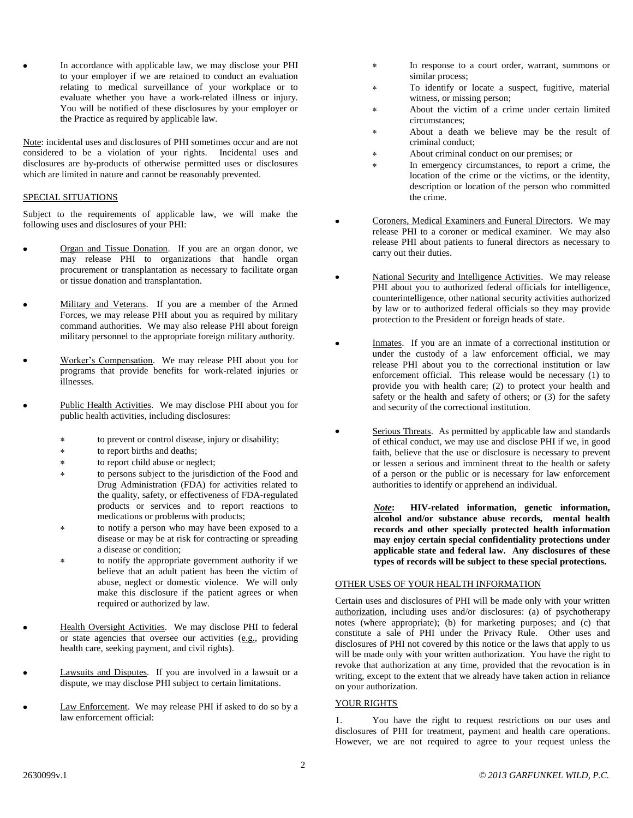In accordance with applicable law, we may disclose your PHI to your employer if we are retained to conduct an evaluation relating to medical surveillance of your workplace or to evaluate whether you have a work-related illness or injury. You will be notified of these disclosures by your employer or the Practice as required by applicable law.

Note: incidental uses and disclosures of PHI sometimes occur and are not considered to be a violation of your rights. Incidental uses and disclosures are by-products of otherwise permitted uses or disclosures which are limited in nature and cannot be reasonably prevented.

### SPECIAL SITUATIONS

Subject to the requirements of applicable law, we will make the following uses and disclosures of your PHI:

- Organ and Tissue Donation. If you are an organ donor, we may release PHI to organizations that handle organ procurement or transplantation as necessary to facilitate organ or tissue donation and transplantation.
- Military and Veterans. If you are a member of the Armed Forces, we may release PHI about you as required by military command authorities. We may also release PHI about foreign military personnel to the appropriate foreign military authority.
- Worker's Compensation. We may release PHI about you for programs that provide benefits for work-related injuries or illnesses.
- Public Health Activities. We may disclose PHI about you for public health activities, including disclosures:
	- $\star$ to prevent or control disease, injury or disability;
	- to report births and deaths;  $\ast$
	- to report child abuse or neglect;  $\ast$
	- to persons subject to the jurisdiction of the Food and  $\ast$ Drug Administration (FDA) for activities related to the quality, safety, or effectiveness of FDA-regulated products or services and to report reactions to medications or problems with products;
	- to notify a person who may have been exposed to a disease or may be at risk for contracting or spreading a disease or condition;
	- to notify the appropriate government authority if we believe that an adult patient has been the victim of abuse, neglect or domestic violence. We will only make this disclosure if the patient agrees or when required or authorized by law.
- Health Oversight Activities. We may disclose PHI to federal or state agencies that oversee our activities (e.g., providing health care, seeking payment, and civil rights).
- Lawsuits and Disputes. If you are involved in a lawsuit or a dispute, we may disclose PHI subject to certain limitations.
- Law Enforcement. We may release PHI if asked to do so by a law enforcement official:
- In response to a court order, warrant, summons or similar process;
- To identify or locate a suspect, fugitive, material witness, or missing person;
- About the victim of a crime under certain limited circumstances;
- About a death we believe may be the result of criminal conduct;
- About criminal conduct on our premises; or
- In emergency circumstances, to report a crime, the location of the crime or the victims, or the identity, description or location of the person who committed the crime.
- Coroners, Medical Examiners and Funeral Directors. We may release PHI to a coroner or medical examiner. We may also release PHI about patients to funeral directors as necessary to carry out their duties.
- National Security and Intelligence Activities. We may release PHI about you to authorized federal officials for intelligence, counterintelligence, other national security activities authorized by law or to authorized federal officials so they may provide protection to the President or foreign heads of state.
- Inmates. If you are an inmate of a correctional institution or under the custody of a law enforcement official, we may release PHI about you to the correctional institution or law enforcement official. This release would be necessary (1) to provide you with health care; (2) to protect your health and safety or the health and safety of others; or (3) for the safety and security of the correctional institution.
- Serious Threats. As permitted by applicable law and standards of ethical conduct, we may use and disclose PHI if we, in good faith, believe that the use or disclosure is necessary to prevent or lessen a serious and imminent threat to the health or safety of a person or the public or is necessary for law enforcement authorities to identify or apprehend an individual.

*Note***: HIV-related information, genetic information, alcohol and/or substance abuse records, mental health records and other specially protected health information may enjoy certain special confidentiality protections under applicable state and federal law. Any disclosures of these types of records will be subject to these special protections.**

# OTHER USES OF YOUR HEALTH INFORMATION

Certain uses and disclosures of PHI will be made only with your written authorization, including uses and/or disclosures: (a) of psychotherapy notes (where appropriate); (b) for marketing purposes; and (c) that constitute a sale of PHI under the Privacy Rule. Other uses and disclosures of PHI not covered by this notice or the laws that apply to us will be made only with your written authorization. You have the right to revoke that authorization at any time, provided that the revocation is in writing, except to the extent that we already have taken action in reliance on your authorization.

# YOUR RIGHTS

1. You have the right to request restrictions on our uses and disclosures of PHI for treatment, payment and health care operations. However, we are not required to agree to your request unless the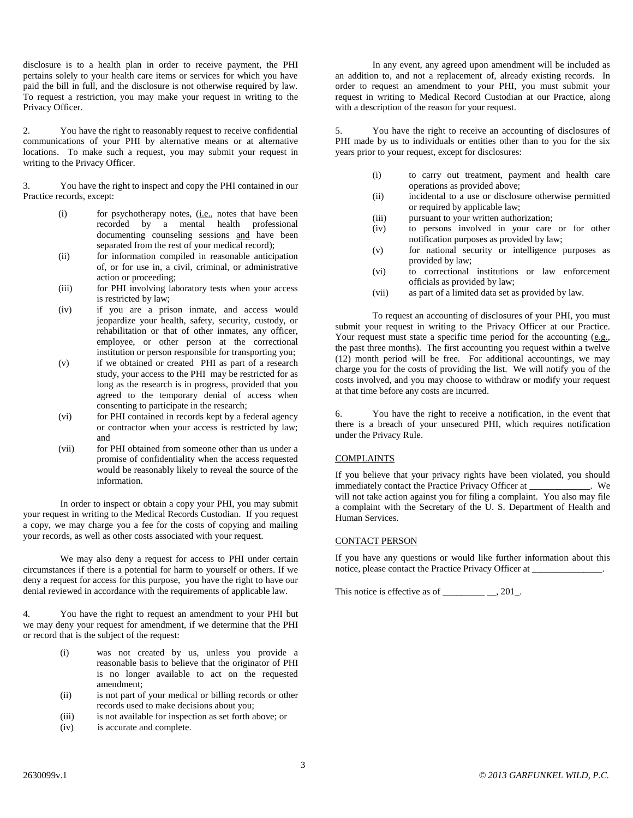disclosure is to a health plan in order to receive payment, the PHI pertains solely to your health care items or services for which you have paid the bill in full, and the disclosure is not otherwise required by law. To request a restriction, you may make your request in writing to the Privacy Officer.

2. You have the right to reasonably request to receive confidential communications of your PHI by alternative means or at alternative locations. To make such a request, you may submit your request in writing to the Privacy Officer.

3. You have the right to inspect and copy the PHI contained in our Practice records, except:

- (i) for psychotherapy notes, (i.e., notes that have been recorded by a mental health professional documenting counseling sessions and have been separated from the rest of your medical record);
- (ii) for information compiled in reasonable anticipation of, or for use in, a civil, criminal, or administrative action or proceeding;
- (iii) for PHI involving laboratory tests when your access is restricted by law;
- (iv) if you are a prison inmate, and access would jeopardize your health, safety, security, custody, or rehabilitation or that of other inmates, any officer, employee, or other person at the correctional institution or person responsible for transporting you;
- (v) if we obtained or created PHI as part of a research study, your access to the PHI may be restricted for as long as the research is in progress, provided that you agreed to the temporary denial of access when consenting to participate in the research;
- (vi) for PHI contained in records kept by a federal agency or contractor when your access is restricted by law; and
- (vii) for PHI obtained from someone other than us under a promise of confidentiality when the access requested would be reasonably likely to reveal the source of the information.

In order to inspect or obtain a copy your PHI, you may submit your request in writing to the Medical Records Custodian. If you request a copy, we may charge you a fee for the costs of copying and mailing your records, as well as other costs associated with your request.

We may also deny a request for access to PHI under certain circumstances if there is a potential for harm to yourself or others. If we deny a request for access for this purpose, you have the right to have our denial reviewed in accordance with the requirements of applicable law.

4. You have the right to request an amendment to your PHI but we may deny your request for amendment, if we determine that the PHI or record that is the subject of the request:

- (i) was not created by us, unless you provide a reasonable basis to believe that the originator of PHI is no longer available to act on the requested amendment;
- (ii) is not part of your medical or billing records or other records used to make decisions about you;
- (iii) is not available for inspection as set forth above; or
- (iv) is accurate and complete.

In any event, any agreed upon amendment will be included as an addition to, and not a replacement of, already existing records. In order to request an amendment to your PHI, you must submit your request in writing to Medical Record Custodian at our Practice, along with a description of the reason for your request.

5. You have the right to receive an accounting of disclosures of PHI made by us to individuals or entities other than to you for the six years prior to your request, except for disclosures:

- (i) to carry out treatment, payment and health care operations as provided above;
- (ii) incidental to a use or disclosure otherwise permitted or required by applicable law;
- (iii) pursuant to your written authorization;
- (iv) to persons involved in your care or for other notification purposes as provided by law;
- (v) for national security or intelligence purposes as provided by law;
- (vi) to correctional institutions or law enforcement officials as provided by law;
- (vii) as part of a limited data set as provided by law.

To request an accounting of disclosures of your PHI, you must submit your request in writing to the Privacy Officer at our Practice. Your request must state a specific time period for the accounting  $(e.g.,)$ the past three months). The first accounting you request within a twelve (12) month period will be free. For additional accountings, we may charge you for the costs of providing the list. We will notify you of the costs involved, and you may choose to withdraw or modify your request at that time before any costs are incurred.

6. You have the right to receive a notification, in the event that there is a breach of your unsecured PHI, which requires notification under the Privacy Rule.

# **COMPLAINTS**

If you believe that your privacy rights have been violated, you should immediately contact the Practice Privacy Officer at **\_\_\_\_\_\_\_\_\_\_\_\_\_**. We will not take action against you for filing a complaint. You also may file a complaint with the Secretary of the U. S. Department of Health and Human Services.

### CONTACT PERSON

If you have any questions or would like further information about this notice, please contact the Practice Privacy Officer at \_\_\_\_\_\_\_\_\_\_\_\_\_\_\_.

This notice is effective as of  $\_\_\_\_\_\_\_\_\_\_\_\_$ .